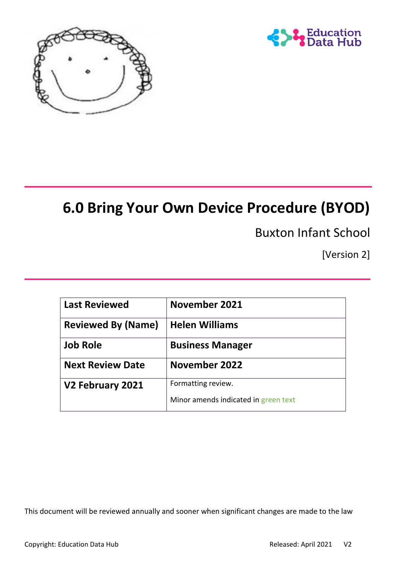



# **6.0 Bring Your Own Device Procedure (BYOD)**

Buxton Infant School

[Version 2]

| <b>Last Reviewed</b>      | November 2021                        |
|---------------------------|--------------------------------------|
| <b>Reviewed By (Name)</b> | <b>Helen Williams</b>                |
| <b>Job Role</b>           | <b>Business Manager</b>              |
| <b>Next Review Date</b>   | November 2022                        |
| V2 February 2021          | Formatting review.                   |
|                           | Minor amends indicated in green text |

This document will be reviewed annually and sooner when significant changes are made to the law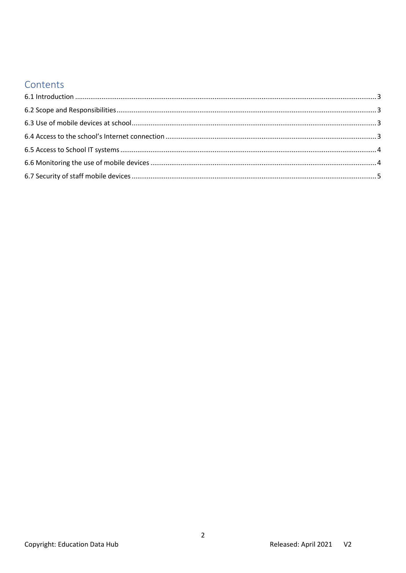## Contents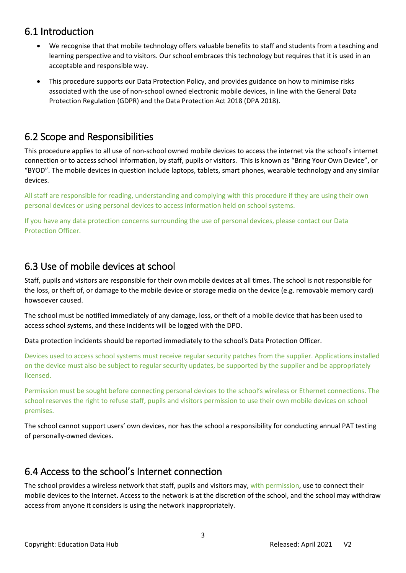#### <span id="page-2-0"></span>6.1 Introduction

- We recognise that that mobile technology offers valuable benefits to staff and students from a teaching and learning perspective and to visitors. Our school embraces this technology but requires that it is used in an acceptable and responsible way.
- This procedure supports our Data Protection Policy, and provides guidance on how to minimise risks associated with the use of non-school owned electronic mobile devices, in line with the General Data Protection Regulation (GDPR) and the Data Protection Act 2018 (DPA 2018).

## <span id="page-2-1"></span>6.2 Scope and Responsibilities

This procedure applies to all use of non-school owned mobile devices to access the internet via the school's internet connection or to access school information, by staff, pupils or visitors. This is known as "Bring Your Own Device", or "BYOD". The mobile devices in question include laptops, tablets, smart phones, wearable technology and any similar devices.

All staff are responsible for reading, understanding and complying with this procedure if they are using their own personal devices or using personal devices to access information held on school systems.

If you have any data protection concerns surrounding the use of personal devices, please contact our Data Protection Officer.

# <span id="page-2-2"></span>6.3 Use of mobile devices at school

Staff, pupils and visitors are responsible for their own mobile devices at all times. The school is not responsible for the loss, or theft of, or damage to the mobile device or storage media on the device (e.g. removable memory card) howsoever caused.

The school must be notified immediately of any damage, loss, or theft of a mobile device that has been used to access school systems, and these incidents will be logged with the DPO.

Data protection incidents should be reported immediately to the school's Data Protection Officer.

Devices used to access school systems must receive regular security patches from the supplier. Applications installed on the device must also be subject to regular security updates, be supported by the supplier and be appropriately licensed.

Permission must be sought before connecting personal devices to the school's wireless or Ethernet connections. The school reserves the right to refuse staff, pupils and visitors permission to use their own mobile devices on school premises.

The school cannot support users' own devices, nor has the school a responsibility for conducting annual PAT testing of personally-owned devices.

## <span id="page-2-3"></span>6.4 Access to the school's Internet connection

The school provides a wireless network that staff, pupils and visitors may, with permission, use to connect their mobile devices to the Internet. Access to the network is at the discretion of the school, and the school may withdraw access from anyone it considers is using the network inappropriately.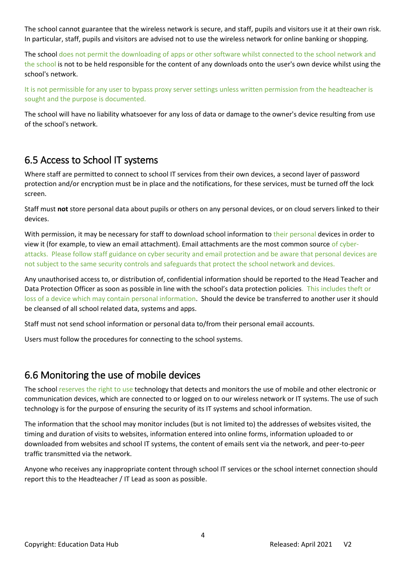The school cannot guarantee that the wireless network is secure, and staff, pupils and visitors use it at their own risk. In particular, staff, pupils and visitors are advised not to use the wireless network for online banking or shopping.

The school does not permit the downloading of apps or other software whilst connected to the school network and the school is not to be held responsible for the content of any downloads onto the user's own device whilst using the school's network.

It is not permissible for any user to bypass proxy server settings unless written permission from the headteacher is sought and the purpose is documented.

The school will have no liability whatsoever for any loss of data or damage to the owner's device resulting from use of the school's network.

### <span id="page-3-0"></span>6.5 Access to School IT systems

Where staff are permitted to connect to school IT services from their own devices, a second layer of password protection and/or encryption must be in place and the notifications, for these services, must be turned off the lock screen.

Staff must **not** store personal data about pupils or others on any personal devices, or on cloud servers linked to their devices.

With permission, it may be necessary for staff to download school information to their personal devices in order to view it (for example, to view an email attachment). Email attachments are the most common source of cyberattacks. Please follow staff guidance on cyber security and email protection and be aware that personal devices are not subject to the same security controls and safeguards that protect the school network and devices.

Any unauthorised access to, or distribution of, confidential information should be reported to the Head Teacher and Data Protection Officer as soon as possible in line with the school's data protection policies. This includes theft or loss of a device which may contain personal information. Should the device be transferred to another user it should be cleansed of all school related data, systems and apps.

Staff must not send school information or personal data to/from their personal email accounts.

Users must follow the procedures for connecting to the school systems.

#### <span id="page-3-1"></span>6.6 Monitoring the use of mobile devices

The school reserves the right to use technology that detects and monitors the use of mobile and other electronic or communication devices, which are connected to or logged on to our wireless network or IT systems. The use of such technology is for the purpose of ensuring the security of its IT systems and school information.

The information that the school may monitor includes (but is not limited to) the addresses of websites visited, the timing and duration of visits to websites, information entered into online forms, information uploaded to or downloaded from websites and school IT systems, the content of emails sent via the network, and peer-to-peer traffic transmitted via the network.

Anyone who receives any inappropriate content through school IT services or the school internet connection should report this to the Headteacher / IT Lead as soon as possible.